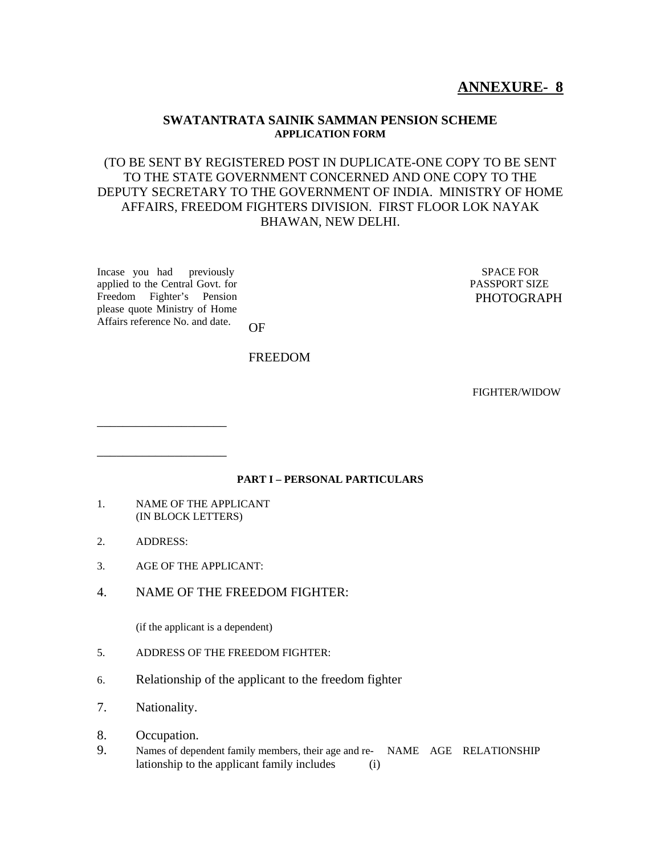# **ANNEXURE- 8**

#### **SWATANTRATA SAINIK SAMMAN PENSION SCHEME APPLICATION FORM**

## (TO BE SENT BY REGISTERED POST IN DUPLICATE-ONE COPY TO BE SENT TO THE STATE GOVERNMENT CONCERNED AND ONE COPY TO THE DEPUTY SECRETARY TO THE GOVERNMENT OF INDIA. MINISTRY OF HOME AFFAIRS, FREEDOM FIGHTERS DIVISION. FIRST FLOOR LOK NAYAK BHAWAN, NEW DELHI.

Incase you had previously applied to the Central Govt. for Freedom Fighter's Pension please quote Ministry of Home Affairs reference No. and date.

\_\_\_\_\_\_\_\_\_\_\_\_\_\_\_\_\_\_\_\_

\_\_\_\_\_\_\_\_\_\_\_\_\_\_\_\_\_\_\_\_

 SPACE FOR PASSPORT SIZE PHOTOGRAPH

OF

#### FREEDOM

FIGHTER/WIDOW

#### **PART I – PERSONAL PARTICULARS**

- 1. NAME OF THE APPLICANT (IN BLOCK LETTERS)
- 2. ADDRESS:
- 3. AGE OF THE APPLICANT:
- 4. NAME OF THE FREEDOM FIGHTER:

(if the applicant is a dependent)

- 5. ADDRESS OF THE FREEDOM FIGHTER:
- 6. Relationship of the applicant to the freedom fighter
- 7. Nationality.
- 8. Occupation.
- 9. Names of dependent family members, their age and re- NAME AGE RELATIONSHIP lationship to the applicant family includes (i)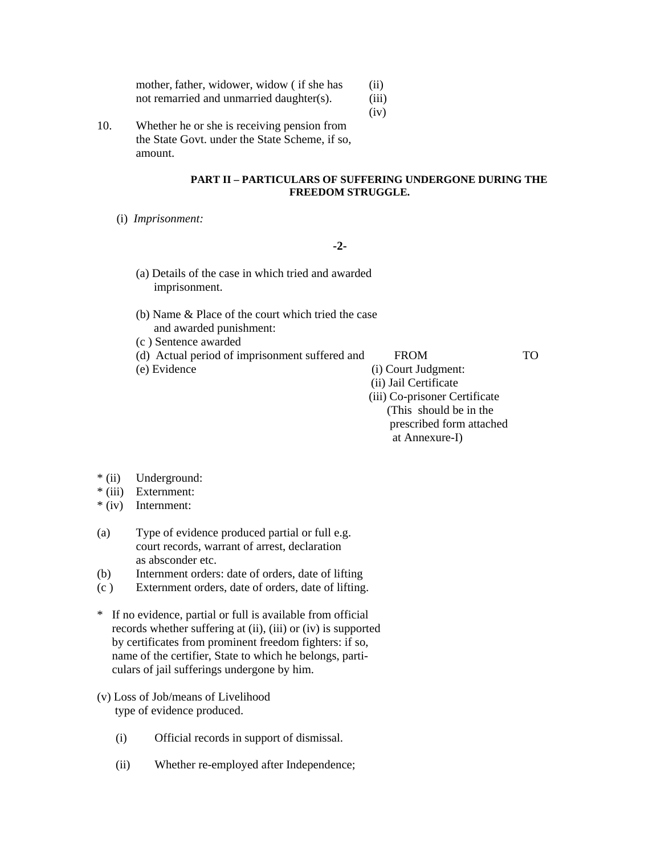| mother, father, widower, widow (if she has | (ii)  |
|--------------------------------------------|-------|
| not remarried and unmarried daughter(s).   | (iii) |

(iv)

10. Whether he or she is receiving pension from the State Govt. under the State Scheme, if so, amount.

#### **PART II – PARTICULARS OF SUFFERING UNDERGONE DURING THE FREEDOM STRUGGLE.**

(i) *Imprisonment:*

**-2-** 

- (a) Details of the case in which tried and awarded imprisonment.
- (b) Name & Place of the court which tried the case and awarded punishment:
- (c ) Sentence awarded
- (d) Actual period of imprisonment suffered and FROM TO
- 

(e) Evidence (i) Court Judgment:

 (ii) Jail Certificate (iii) Co-prisoner Certificate (This should be in the prescribed form attached at Annexure-I)

- \* (ii) Underground:
- \* (iii) Externment:
- \* (iv) Internment:
- (a) Type of evidence produced partial or full e.g. court records, warrant of arrest, declaration as absconder etc.
- (b) Internment orders: date of orders, date of lifting
- (c ) Externment orders, date of orders, date of lifting.
- \* If no evidence, partial or full is available from official records whether suffering at (ii), (iii) or (iv) is supported by certificates from prominent freedom fighters: if so, name of the certifier, State to which he belongs, parti culars of jail sufferings undergone by him.
- (v) Loss of Job/means of Livelihood type of evidence produced.
	- (i) Official records in support of dismissal.
	- (ii) Whether re-employed after Independence;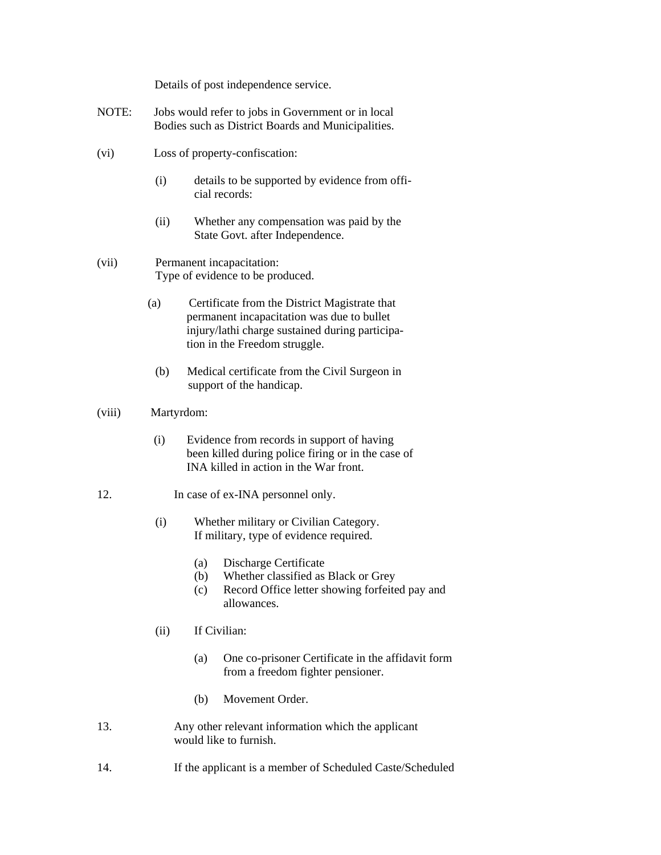Details of post independence service.

- NOTE: Jobs would refer to jobs in Government or in local Bodies such as District Boards and Municipalities.
- (vi) Loss of property-confiscation:
	- (i) details to be supported by evidence from official records:
	- (ii) Whether any compensation was paid by the State Govt. after Independence.
- (vii) Permanent incapacitation: Type of evidence to be produced.
	- (a) Certificate from the District Magistrate that permanent incapacitation was due to bullet injury/lathi charge sustained during participa tion in the Freedom struggle.
	- (b) Medical certificate from the Civil Surgeon in support of the handicap.
- (viii) Martyrdom:
	- (i) Evidence from records in support of having been killed during police firing or in the case of INA killed in action in the War front.
- 12. In case of ex-INA personnel only.
	- (i) Whether military or Civilian Category. If military, type of evidence required.
		- (a) Discharge Certificate
		- (b) Whether classified as Black or Grey
		- (c) Record Office letter showing forfeited pay and allowances.
	- (ii) If Civilian:
		- (a) One co-prisoner Certificate in the affidavit form from a freedom fighter pensioner.
		- (b) Movement Order.
- 13. Any other relevant information which the applicant would like to furnish.
- 14. If the applicant is a member of Scheduled Caste/Scheduled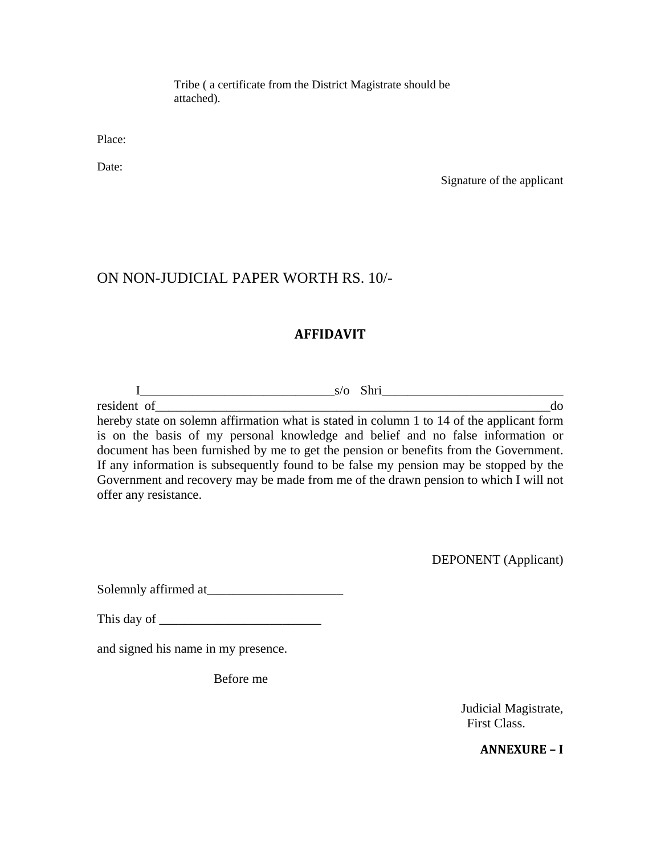Tribe ( a certificate from the District Magistrate should be attached).

Place:

Date:

Signature of the applicant

## ON NON-JUDICIAL PAPER WORTH RS. 10/-

## **AFFIDAVIT**

I\_\_\_\_\_\_\_\_\_\_\_\_\_\_\_\_\_\_\_\_\_\_\_\_\_\_\_\_\_\_s/o Shri\_\_\_\_\_\_\_\_\_\_\_\_\_\_\_\_\_\_\_\_\_\_\_\_\_\_\_\_ resident of do hereby state on solemn affirmation what is stated in column 1 to 14 of the applicant form is on the basis of my personal knowledge and belief and no false information or document has been furnished by me to get the pension or benefits from the Government. If any information is subsequently found to be false my pension may be stopped by the Government and recovery may be made from me of the drawn pension to which I will not offer any resistance.

DEPONENT (Applicant)

Solemnly affirmed at

This day of

and signed his name in my presence.

Before me

Judicial Magistrate, First Class.

**ANNEXURE – I**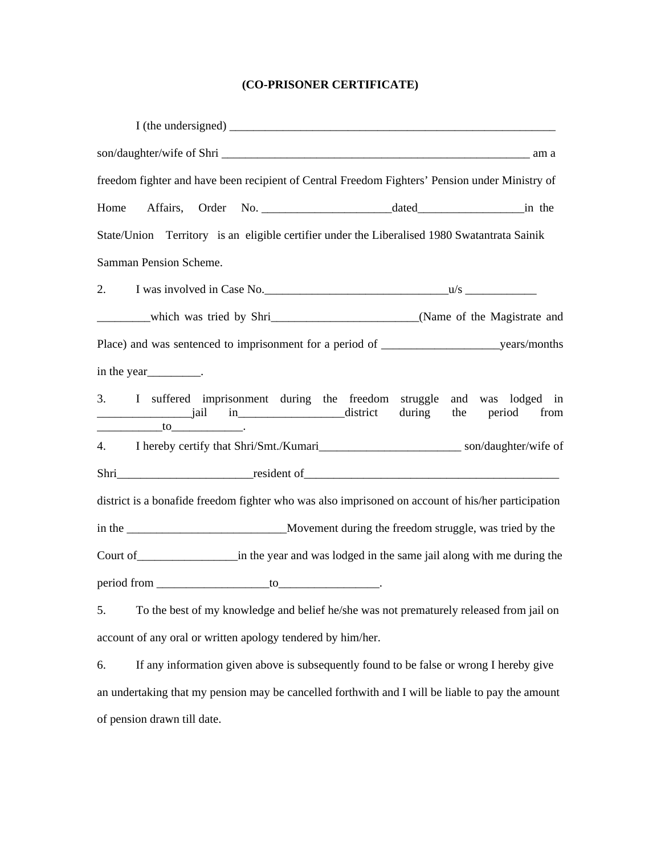# **(CO-PRISONER CERTIFICATE)**

| freedom fighter and have been recipient of Central Freedom Fighters' Pension under Ministry of                         |
|------------------------------------------------------------------------------------------------------------------------|
| Home                                                                                                                   |
| State/Union Territory is an eligible certifier under the Liberalised 1980 Swatantrata Sainik                           |
| Samman Pension Scheme.                                                                                                 |
| 2.                                                                                                                     |
| _________which was tried by Shri____________________________(Name of the Magistrate and                                |
|                                                                                                                        |
|                                                                                                                        |
| 3. I suffered imprisonment during the freedom struggle and was lodged in<br>from<br>$\frac{1}{10}$ to $\frac{1}{10}$ . |
| 4.                                                                                                                     |
|                                                                                                                        |
| district is a bonafide freedom fighter who was also imprisoned on account of his/her participation                     |
|                                                                                                                        |
|                                                                                                                        |
|                                                                                                                        |
| To the best of my knowledge and belief he/she was not prematurely released from jail on<br>5.                          |
| account of any oral or written apology tendered by him/her.                                                            |
| If any information given above is subsequently found to be false or wrong I hereby give<br>6.                          |
| an undertaking that my pension may be cancelled forthwith and I will be liable to pay the amount                       |

of pension drawn till date.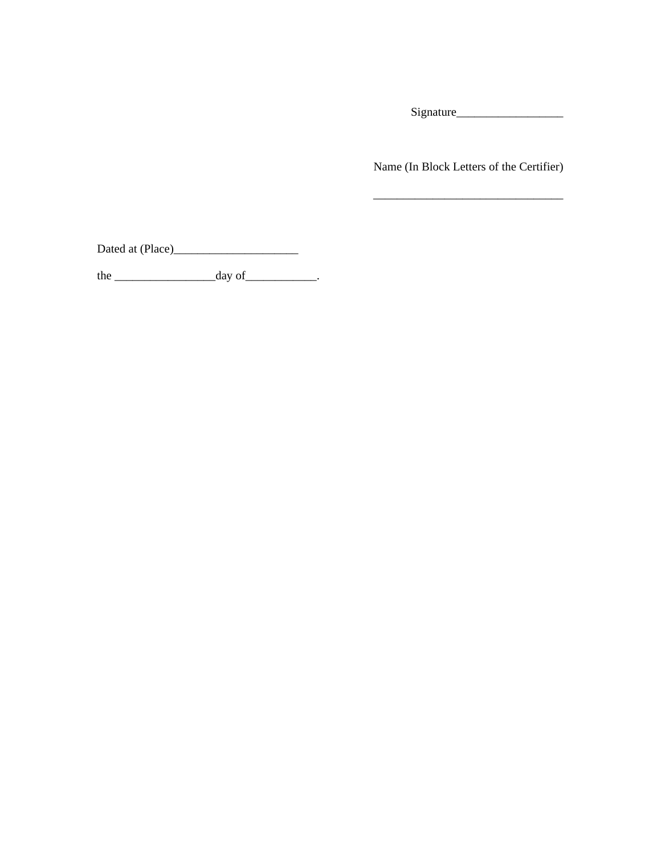Signature\_\_\_\_\_\_\_\_\_\_\_\_\_\_\_\_\_\_

Name (In Block Letters of the Certifier)

\_\_\_\_\_\_\_\_\_\_\_\_\_\_\_\_\_\_\_\_\_\_\_\_\_\_\_\_\_\_\_\_

Dated at (Place)\_\_\_\_\_\_\_\_\_\_\_\_\_\_\_\_\_\_\_\_\_

the  $\_\_\_\_\_$  day of  $\_\_\_\_\_\_\$ .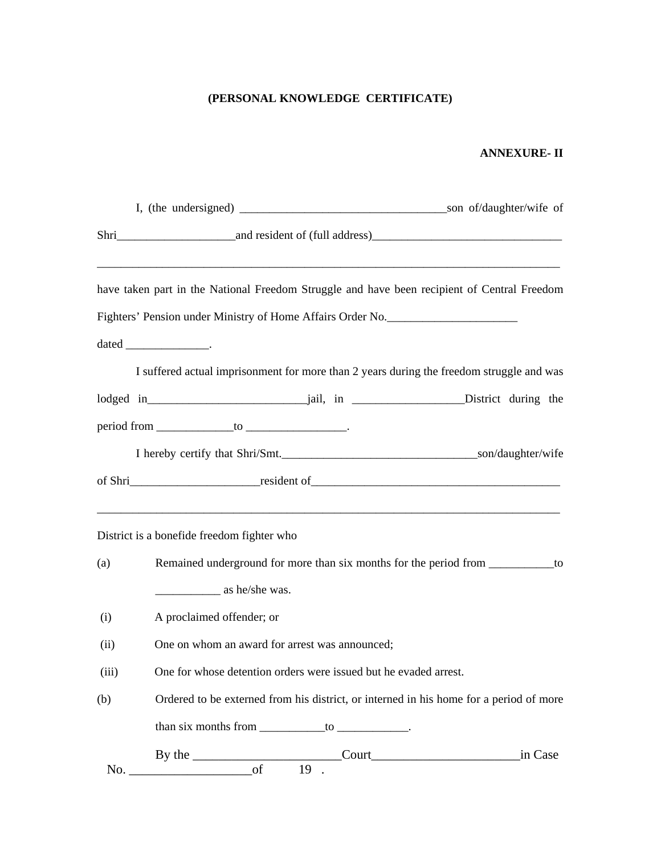## **(PERSONAL KNOWLEDGE CERTIFICATE)**

### **ANNEXURE- II**

|       |                                                                                        |                                                            | have taken part in the National Freedom Struggle and have been recipient of Central Freedom |  |  |
|-------|----------------------------------------------------------------------------------------|------------------------------------------------------------|---------------------------------------------------------------------------------------------|--|--|
|       |                                                                                        | Fighters' Pension under Ministry of Home Affairs Order No. |                                                                                             |  |  |
|       | dated ____________________.                                                            |                                                            |                                                                                             |  |  |
|       |                                                                                        |                                                            | I suffered actual imprisonment for more than 2 years during the freedom struggle and was    |  |  |
|       |                                                                                        |                                                            |                                                                                             |  |  |
|       | $period from \underline{\hspace{1cm}} to \underline{\hspace{1cm}}$                     |                                                            |                                                                                             |  |  |
|       |                                                                                        |                                                            |                                                                                             |  |  |
|       |                                                                                        |                                                            | of Shri                                                                                     |  |  |
|       |                                                                                        |                                                            |                                                                                             |  |  |
|       | District is a bonefide freedom fighter who                                             |                                                            |                                                                                             |  |  |
| (a)   | Remained underground for more than six months for the period from ____________to       |                                                            |                                                                                             |  |  |
|       | $\frac{1}{2}$ as he/she was.                                                           |                                                            |                                                                                             |  |  |
| (i)   | A proclaimed offender; or                                                              |                                                            |                                                                                             |  |  |
| (ii)  | One on whom an award for arrest was announced;                                         |                                                            |                                                                                             |  |  |
| (iii) | One for whose detention orders were issued but he evaded arrest.                       |                                                            |                                                                                             |  |  |
| (b)   | Ordered to be externed from his district, or interned in his home for a period of more |                                                            |                                                                                             |  |  |
|       |                                                                                        | than six months from $\_\_\_\_$ to $\_\_\_\_\_\_\_\_$      |                                                                                             |  |  |
|       |                                                                                        |                                                            | in Case                                                                                     |  |  |
| No.   | of                                                                                     | $19$ .                                                     |                                                                                             |  |  |